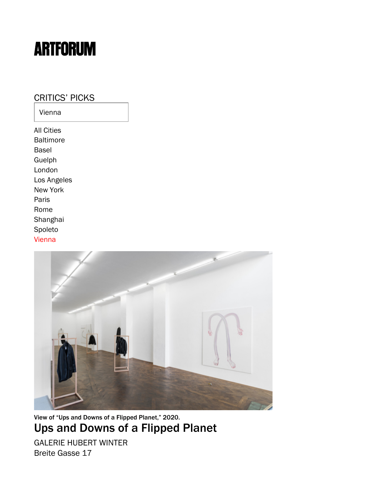## **ARTFORUM**

[CRITICS' PICKS](https://www.artforum.com/picks) Vienna [All Cities](https://www.artforum.com/picks) [Baltimore](https://www.artforum.com/picks/baltimore) [Basel](https://www.artforum.com/picks/basel) [Guelph](https://www.artforum.com/picks/guelph) [London](https://www.artforum.com/picks/london) [Los Angeles](https://www.artforum.com/picks/los-angeles) [New York](https://www.artforum.com/picks/new-york) [Paris](https://www.artforum.com/picks/paris) [Rome](https://www.artforum.com/picks/rome) [Shanghai](https://www.artforum.com/picks/shanghai) [Spoleto](https://www.artforum.com/picks/spoleto) [Vienna](https://www.artforum.com/picks/vienna)



View of "Ups and Downs of a Flipped Planet," 2020. [Ups and Downs of a Flipped Planet](https://www.artforum.com/picks/ups-and-downs-of-a-flipped-planet-83983)

[GALERIE HUBERT WINTER](https://www.artforum.com/artguide/galerie-hubert-winter-554)  Breite Gasse 17